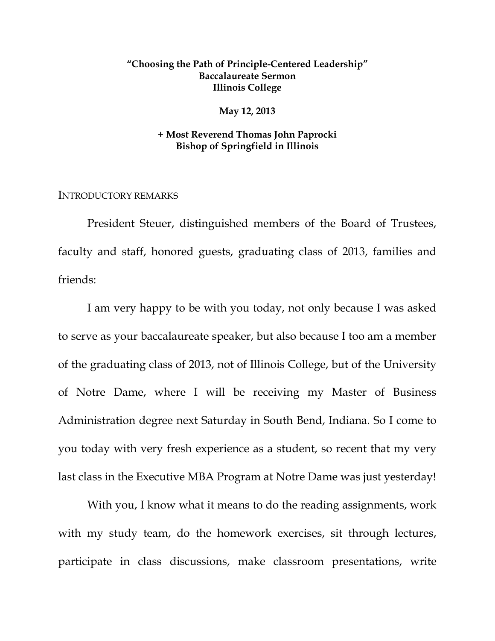# **"Choosing the Path of Principle-Centered Leadership" Baccalaureate Sermon Illinois College**

### **May 12, 2013**

## **+ Most Reverend Thomas John Paprocki Bishop of Springfield in Illinois**

INTRODUCTORY REMARKS

 President Steuer, distinguished members of the Board of Trustees, faculty and staff, honored guests, graduating class of 2013, families and friends:

I am very happy to be with you today, not only because I was asked to serve as your baccalaureate speaker, but also because I too am a member of the graduating class of 2013, not of Illinois College, but of the University of Notre Dame, where I will be receiving my Master of Business Administration degree next Saturday in South Bend, Indiana. So I come to you today with very fresh experience as a student, so recent that my very last class in the Executive MBA Program at Notre Dame was just yesterday!

With you, I know what it means to do the reading assignments, work with my study team, do the homework exercises, sit through lectures, participate in class discussions, make classroom presentations, write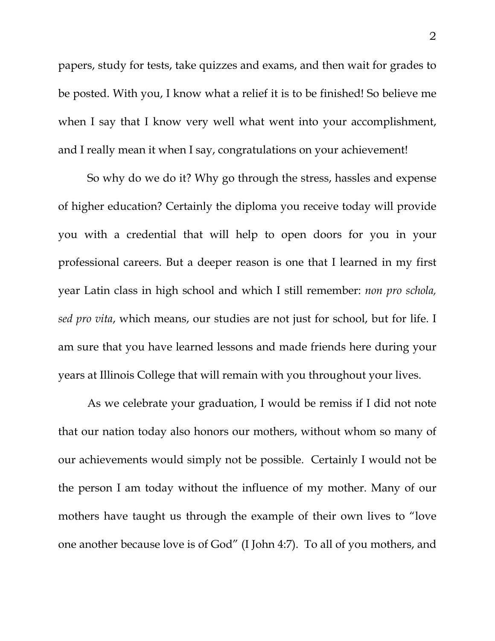papers, study for tests, take quizzes and exams, and then wait for grades to be posted. With you, I know what a relief it is to be finished! So believe me when I say that I know very well what went into your accomplishment, and I really mean it when I say, congratulations on your achievement!

So why do we do it? Why go through the stress, hassles and expense of higher education? Certainly the diploma you receive today will provide you with a credential that will help to open doors for you in your professional careers. But a deeper reason is one that I learned in my first year Latin class in high school and which I still remember: *non pro schola, sed pro vita*, which means, our studies are not just for school, but for life. I am sure that you have learned lessons and made friends here during your years at Illinois College that will remain with you throughout your lives.

 As we celebrate your graduation, I would be remiss if I did not note that our nation today also honors our mothers, without whom so many of our achievements would simply not be possible. Certainly I would not be the person I am today without the influence of my mother. Many of our mothers have taught us through the example of their own lives to "love one another because love is of God" (I John 4:7). To all of you mothers, and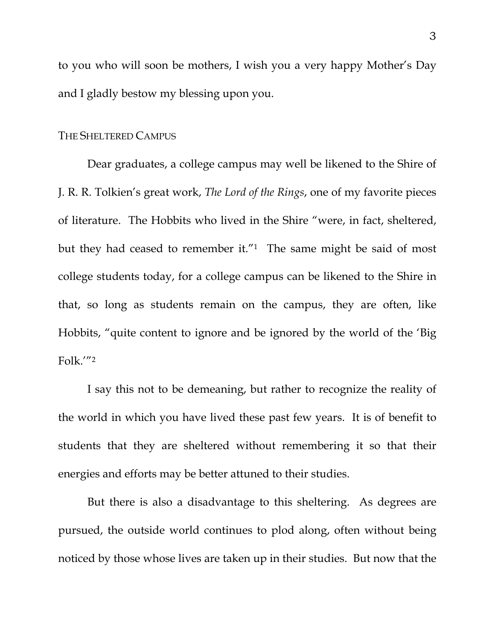to you who will soon be mothers, I wish you a very happy Mother's Day and I gladly bestow my blessing upon you.

## THE SHELTERED CAMPUS

 Dear graduates, a college campus may well be likened to the Shire of J. R. R. Tolkien's great work, *The Lord of the Rings*, one of my favorite pieces of literature. The Hobbits who lived in the Shire "were, in fact, sheltered, but they had ceased to remember it."<sup>1</sup> The same might be said of most college students today, for a college campus can be likened to the Shire in that, so long as students remain on the campus, they are often, like Hobbits, "quite content to ignore and be ignored by the world of the 'Big Folk.'"2

 I say this not to be demeaning, but rather to recognize the reality of the world in which you have lived these past few years. It is of benefit to students that they are sheltered without remembering it so that their energies and efforts may be better attuned to their studies.

 But there is also a disadvantage to this sheltering. As degrees are pursued, the outside world continues to plod along, often without being noticed by those whose lives are taken up in their studies. But now that the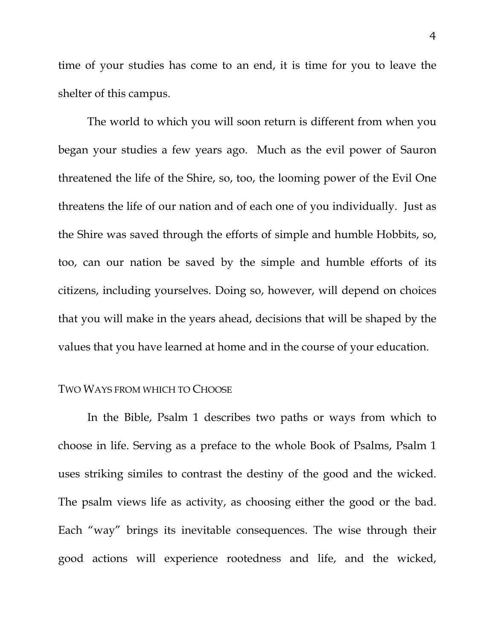time of your studies has come to an end, it is time for you to leave the shelter of this campus.

 The world to which you will soon return is different from when you began your studies a few years ago. Much as the evil power of Sauron threatened the life of the Shire, so, too, the looming power of the Evil One threatens the life of our nation and of each one of you individually. Just as the Shire was saved through the efforts of simple and humble Hobbits, so, too, can our nation be saved by the simple and humble efforts of its citizens, including yourselves. Doing so, however, will depend on choices that you will make in the years ahead, decisions that will be shaped by the values that you have learned at home and in the course of your education.

### TWO WAYS FROM WHICH TO CHOOSE

In the Bible, Psalm 1 describes two paths or ways from which to choose in life. Serving as a preface to the whole Book of Psalms, Psalm 1 uses striking similes to contrast the destiny of the good and the wicked. The psalm views life as activity, as choosing either the good or the bad. Each "way" brings its inevitable consequences. The wise through their good actions will experience rootedness and life, and the wicked,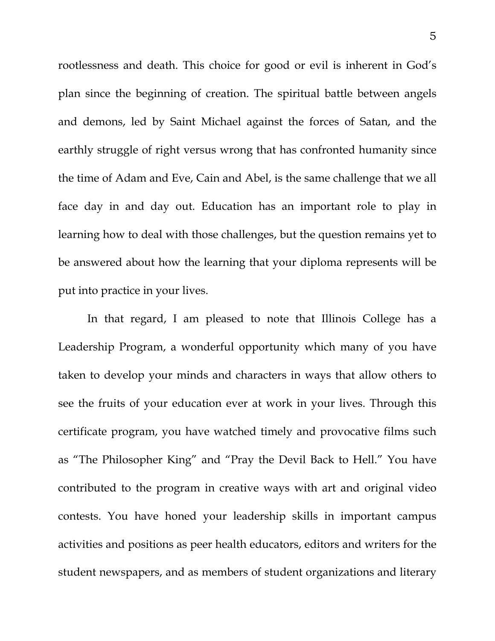rootlessness and death. This choice for good or evil is inherent in God's plan since the beginning of creation. The spiritual battle between angels and demons, led by Saint Michael against the forces of Satan, and the earthly struggle of right versus wrong that has confronted humanity since the time of Adam and Eve, Cain and Abel, is the same challenge that we all face day in and day out. Education has an important role to play in learning how to deal with those challenges, but the question remains yet to be answered about how the learning that your diploma represents will be put into practice in your lives.

In that regard, I am pleased to note that Illinois College has a Leadership Program, a wonderful opportunity which many of you have taken to develop your minds and characters in ways that allow others to see the fruits of your education ever at work in your lives. Through this certificate program, you have watched timely and provocative films such as "The Philosopher King" and "Pray the Devil Back to Hell." You have contributed to the program in creative ways with art and original video contests. You have honed your leadership skills in important campus activities and positions as peer health educators, editors and writers for the student newspapers, and as members of student organizations and literary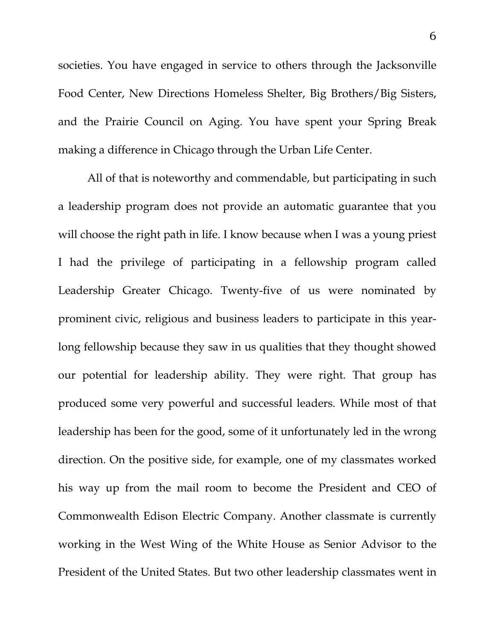societies. You have engaged in service to others through the Jacksonville Food Center, New Directions Homeless Shelter, Big Brothers/Big Sisters, and the Prairie Council on Aging. You have spent your Spring Break making a difference in Chicago through the Urban Life Center.

All of that is noteworthy and commendable, but participating in such a leadership program does not provide an automatic guarantee that you will choose the right path in life. I know because when I was a young priest I had the privilege of participating in a fellowship program called Leadership Greater Chicago. Twenty-five of us were nominated by prominent civic, religious and business leaders to participate in this yearlong fellowship because they saw in us qualities that they thought showed our potential for leadership ability. They were right. That group has produced some very powerful and successful leaders. While most of that leadership has been for the good, some of it unfortunately led in the wrong direction. On the positive side, for example, one of my classmates worked his way up from the mail room to become the President and CEO of Commonwealth Edison Electric Company. Another classmate is currently working in the West Wing of the White House as Senior Advisor to the President of the United States. But two other leadership classmates went in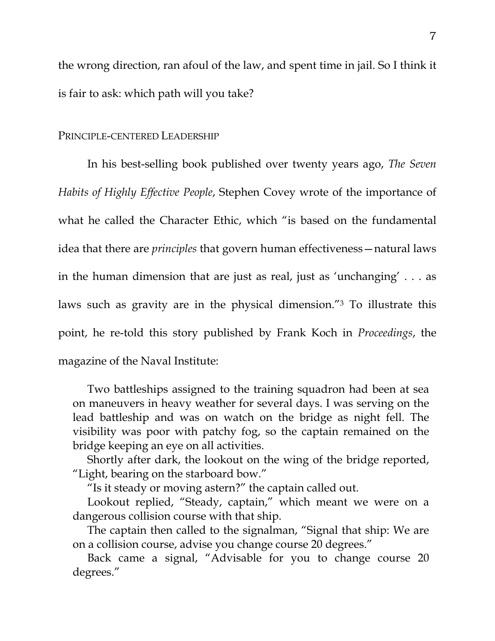the wrong direction, ran afoul of the law, and spent time in jail. So I think it is fair to ask: which path will you take?

### PRINCIPLE-CENTERED LEADERSHIP

 In his best-selling book published over twenty years ago, *The Seven Habits of Highly Effective People*, Stephen Covey wrote of the importance of what he called the Character Ethic, which "is based on the fundamental idea that there are *principles* that govern human effectiveness—natural laws in the human dimension that are just as real, just as 'unchanging' . . . as laws such as gravity are in the physical dimension."3 To illustrate this point, he re-told this story published by Frank Koch in *Proceedings*, the magazine of the Naval Institute:

 Two battleships assigned to the training squadron had been at sea on maneuvers in heavy weather for several days. I was serving on the lead battleship and was on watch on the bridge as night fell. The visibility was poor with patchy fog, so the captain remained on the bridge keeping an eye on all activities.

 Shortly after dark, the lookout on the wing of the bridge reported, "Light, bearing on the starboard bow."

"Is it steady or moving astern?" the captain called out.

 Lookout replied, "Steady, captain," which meant we were on a dangerous collision course with that ship.

 The captain then called to the signalman, "Signal that ship: We are on a collision course, advise you change course 20 degrees."

 Back came a signal, "Advisable for you to change course 20 degrees."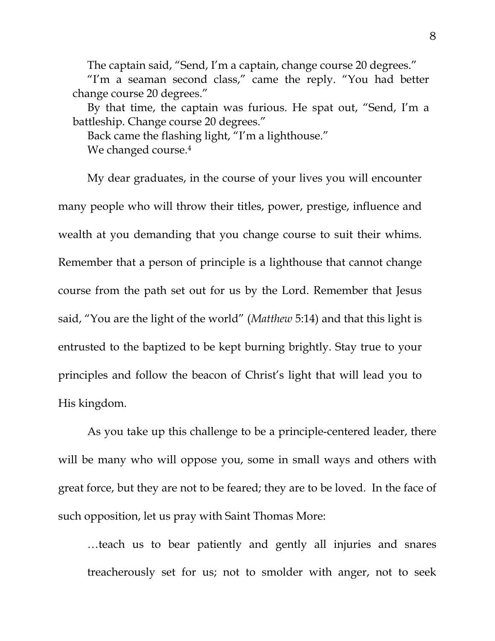The captain said, "Send, I'm a captain, change course 20 degrees."

 "I'm a seaman second class," came the reply. "You had better change course 20 degrees."

 By that time, the captain was furious. He spat out, "Send, I'm a battleship. Change course 20 degrees."

 Back came the flashing light, "I'm a lighthouse." We changed course.<sup>4</sup>

 My dear graduates, in the course of your lives you will encounter many people who will throw their titles, power, prestige, influence and wealth at you demanding that you change course to suit their whims. Remember that a person of principle is a lighthouse that cannot change course from the path set out for us by the Lord. Remember that Jesus said, "You are the light of the world" (*Matthew* 5:14) and that this light is entrusted to the baptized to be kept burning brightly. Stay true to your principles and follow the beacon of Christ's light that will lead you to His kingdom.

 As you take up this challenge to be a principle-centered leader, there will be many who will oppose you, some in small ways and others with great force, but they are not to be feared; they are to be loved. In the face of such opposition, let us pray with Saint Thomas More:

…teach us to bear patiently and gently all injuries and snares treacherously set for us; not to smolder with anger, not to seek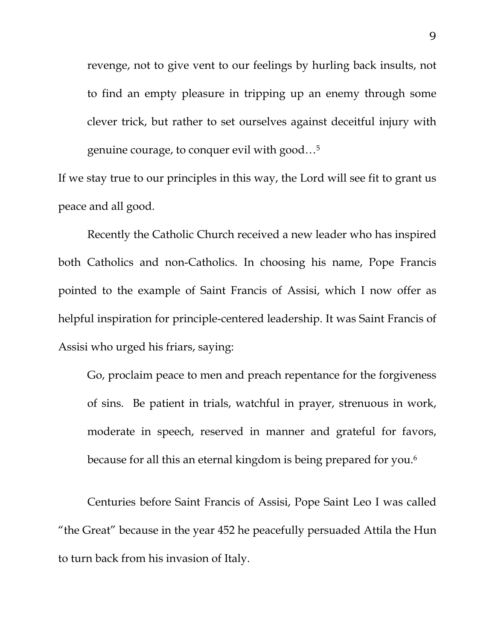revenge, not to give vent to our feelings by hurling back insults, not to find an empty pleasure in tripping up an enemy through some clever trick, but rather to set ourselves against deceitful injury with genuine courage, to conquer evil with good…5

If we stay true to our principles in this way, the Lord will see fit to grant us peace and all good.

 Recently the Catholic Church received a new leader who has inspired both Catholics and non-Catholics. In choosing his name, Pope Francis pointed to the example of Saint Francis of Assisi, which I now offer as helpful inspiration for principle-centered leadership. It was Saint Francis of Assisi who urged his friars, saying:

Go, proclaim peace to men and preach repentance for the forgiveness of sins. Be patient in trials, watchful in prayer, strenuous in work, moderate in speech, reserved in manner and grateful for favors, because for all this an eternal kingdom is being prepared for you.<sup>6</sup>

Centuries before Saint Francis of Assisi, Pope Saint Leo I was called "the Great" because in the year 452 he peacefully persuaded Attila the Hun to turn back from his invasion of Italy.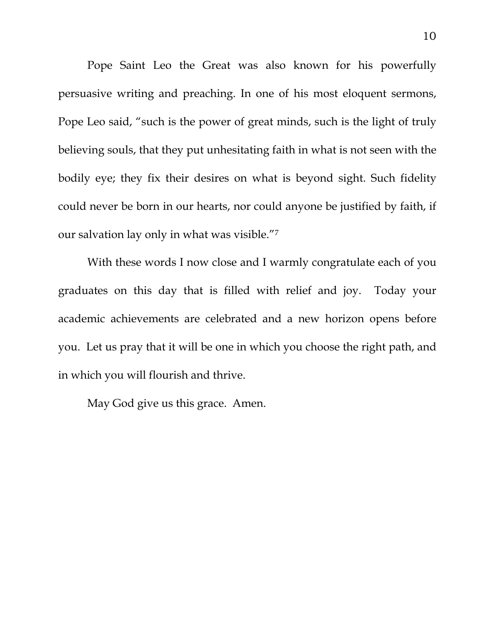Pope Saint Leo the Great was also known for his powerfully persuasive writing and preaching. In one of his most eloquent sermons, Pope Leo said, "such is the power of great minds, such is the light of truly believing souls, that they put unhesitating faith in what is not seen with the bodily eye; they fix their desires on what is beyond sight. Such fidelity could never be born in our hearts, nor could anyone be justified by faith, if our salvation lay only in what was visible."7

With these words I now close and I warmly congratulate each of you graduates on this day that is filled with relief and joy. Today your academic achievements are celebrated and a new horizon opens before you. Let us pray that it will be one in which you choose the right path, and in which you will flourish and thrive.

May God give us this grace. Amen.